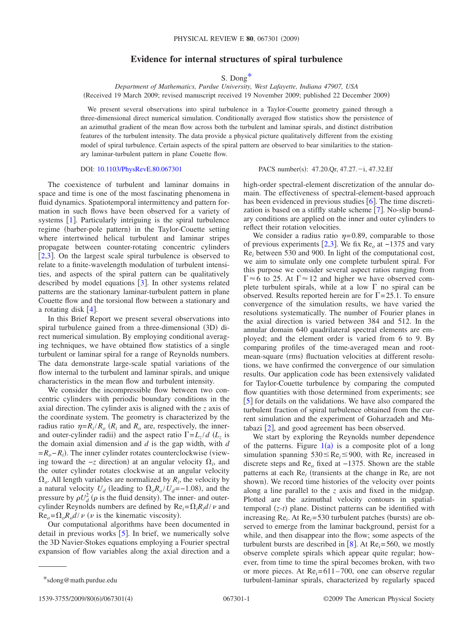## **Evidence for internal structures of spiral turbulence**

S. Don[g\\*](#page-0-0)

*Department of Mathematics, Purdue University, West Lafayette, Indiana 47907, USA* (Received 19 March 2009; revised manuscript received 19 November 2009; published 22 December 2009)

We present several observations into spiral turbulence in a Taylor-Couette geometry gained through a three-dimensional direct numerical simulation. Conditionally averaged flow statistics show the persistence of an azimuthal gradient of the mean flow across both the turbulent and laminar spirals, and distinct distribution features of the turbulent intensity. The data provide a physical picture qualitatively different from the existing model of spiral turbulence. Certain aspects of the spiral pattern are observed to bear similarities to the stationary laminar-turbulent pattern in plane Couette flow.

## DOI: [10.1103/PhysRevE.80.067301](http://dx.doi.org/10.1103/PhysRevE.80.067301)

PACS number(s):  $47.20 \text{.}$  Or,  $47.27 \text{.} -i$ ,  $47.32 \text{.}$  Ef

The coexistence of turbulent and laminar domains in space and time is one of the most fascinating phenomena in fluid dynamics. Spatiotemporal intermittency and pattern formation in such flows have been observed for a variety of systems  $[1]$  $[1]$  $[1]$ . Particularly intriguing is the spiral turbulence regime (barber-pole pattern) in the Taylor-Couette setting where intertwined helical turbulent and laminar stripes propagate between counter-rotating concentric cylinders [[2](#page-3-1)[,3](#page-3-2)]. On the largest scale spiral turbulence is observed to relate to a finite-wavelength modulation of turbulent intensities, and aspects of the spiral pattern can be qualitatively described by model equations  $\lceil 3 \rceil$  $\lceil 3 \rceil$  $\lceil 3 \rceil$ . In other systems related patterns are the stationary laminar-turbulent pattern in plane Couette flow and the torsional flow between a stationary and a rotating disk  $[4]$  $[4]$  $[4]$ .

In this Brief Report we present several observations into spiral turbulence gained from a three-dimensional (3D) direct numerical simulation. By employing conditional averaging techniques, we have obtained flow statistics of a single turbulent or laminar spiral for a range of Reynolds numbers. The data demonstrate large-scale spatial variations of the flow internal to the turbulent and laminar spirals, and unique characteristics in the mean flow and turbulent intensity.

We consider the incompressible flow between two concentric cylinders with periodic boundary conditions in the axial direction. The cylinder axis is aligned with the *z* axis of the coordinate system. The geometry is characterized by the radius ratio  $\eta = R_i / R_o$  ( $R_i$  and  $R_o$  are, respectively, the innerand outer-cylinder radii) and the aspect ratio  $\Gamma = L_z/d$  ( $L_z$  is the domain axial dimension and *d* is the gap width, with *d* = $R_o - R_i$ ). The inner cylinder rotates counterclockwise (viewing toward the  $-z$  direction) at an angular velocity  $Ω<sub>i</sub>$ , and the outer cylinder rotates clockwise at an angular velocity  $\Omega_o$ . All length variables are normalized by  $R_i$ , the velocity by a natural velocity  $U_d$  (leading to  $\Omega_o R_o / U_d = -1.08$ ), and the pressure by  $\rho U_d^2$  ( $\rho$  is the fluid density). The inner- and outercylinder Reynolds numbers are defined by  $\text{Re}_i = \Omega_i R_i d / \nu$  and  $\text{Re}_o = \Omega_o R_o d / \nu$  (*v* is the kinematic viscosity).

Our computational algorithms have been documented in detail in previous works  $\left[5\right]$  $\left[5\right]$  $\left[5\right]$ . In brief, we numerically solve the 3D Navier-Stokes equations employing a Fourier spectral expansion of flow variables along the axial direction and a high-order spectral-element discretization of the annular domain. The effectiveness of spectral-element-based approach has been evidenced in previous studies  $[6]$  $[6]$  $[6]$ . The time discretization is based on a stiffly stable scheme  $[7]$  $[7]$  $[7]$ . No-slip boundary conditions are applied on the inner and outer cylinders to reflect their rotation velocities.

We consider a radius ratio  $\eta = 0.89$ , comparable to those of previous experiments [2](#page-3-1)[,3](#page-3-2). We fix Re*<sup>o</sup>* at −1375 and vary Re*<sup>i</sup>* between 530 and 900. In light of the computational cost, we aim to simulate only one complete turbulent spiral. For this purpose we consider several aspect ratios ranging from  $\Gamma \approx 6$  to 25. At  $\Gamma \approx 12$  and higher we have observed complete turbulent spirals, while at a low  $\Gamma$  no spiral can be observed. Results reported herein are for  $\Gamma$  = 25.1. To ensure convergence of the simulation results, we have varied the resolutions systematically. The number of Fourier planes in the axial direction is varied between 384 and 512. In the annular domain 640 quadrilateral spectral elements are employed; and the element order is varied from 6 to 9. By comparing profiles of the time-averaged mean and rootmean-square (rms) fluctuation velocities at different resolutions, we have confirmed the convergence of our simulation results. Our application code has been extensively validated for Taylor-Couette turbulence by comparing the computed flow quantities with those determined from experiments; see [[5](#page-3-4)] for details on the validations. We have also compared the turbulent fraction of spiral turbulence obtained from the current simulation and the experiment of Goharzadeh and Mutabazi  $[2]$  $[2]$  $[2]$ , and good agreement has been observed.

We start by exploring the Reynolds number dependence of the patterns. Figure  $1(a)$  $1(a)$  is a composite plot of a long simulation spanning  $530 \leq Re_i \leq 900$ , with Re<sub>i</sub> increased in discrete steps and Re*<sup>o</sup>* fixed at −1375. Shown are the stable patterns at each Re<sub>i</sub> (transients at the change in Re<sub>i</sub> are not shown). We record time histories of the velocity over points along a line parallel to the *z* axis and fixed in the midgap. Plotted are the azimuthal velocity contours in spatialtemporal (z-t) plane. Distinct patterns can be identified with increasing Re<sub>i</sub>. At Re<sub>i</sub>=530 turbulent patches (bursts) are observed to emerge from the laminar background, persist for a while, and then disappear into the flow; some aspects of the turbulent bursts are described in  $\lceil 8 \rceil$  $\lceil 8 \rceil$  $\lceil 8 \rceil$ . At Re<sub>i</sub>=560, we mostly observe complete spirals which appear quite regular; however, from time to time the spiral becomes broken, with two or more pieces. At Re*i*= 611– 700, one can observe regular \*sdong@math.purdue.edu turbulent-laminar spirals, characterized by regularly spaced

<span id="page-0-0"></span>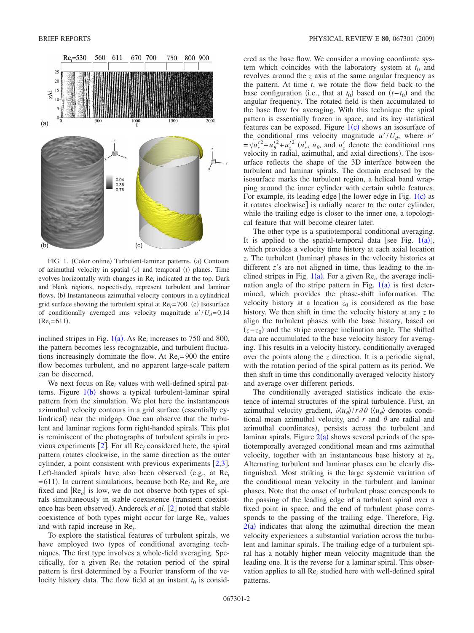<span id="page-1-0"></span>

FIG. 1. (Color online) Turbulent-laminar patterns. (a) Contours of azimuthal velocity in spatial  $(z)$  and temporal  $(t)$  planes. Time evolves horizontally with changes in Re*<sup>i</sup>* indicated at the top. Dark and blank regions, respectively, represent turbulent and laminar flows. (b) Instantaneous azimuthal velocity contours in a cylindrical grid surface showing the turbulent spiral at  $Re_i = 700$ . (c) Isosurface of conditionally averaged rms velocity magnitude  $u'/U_d = 0.14$  $(Re<sub>i</sub>=611).$ 

inclined stripes in Fig.  $1(a)$  $1(a)$ . As Re<sub>i</sub> increases to 750 and 800, the pattern becomes less recognizable, and turbulent fluctuations increasingly dominate the flow. At Re*i*= 900 the entire flow becomes turbulent, and no apparent large-scale pattern can be discerned.

We next focus on Re<sub>i</sub> values with well-defined spiral patterns. Figure  $1(b)$  $1(b)$  shows a typical turbulent-laminar spiral pattern from the simulation. We plot here the instantaneous azimuthal velocity contours in a grid surface (essentially cylindrical) near the midgap. One can observe that the turbulent and laminar regions form right-handed spirals. This plot is reminiscent of the photographs of turbulent spirals in previous experiments  $[2]$  $[2]$  $[2]$ . For all Re<sub>i</sub> considered here, the spiral pattern rotates clockwise, in the same direction as the outer cylinder, a point consistent with previous experiments  $[2,3]$  $[2,3]$  $[2,3]$  $[2,3]$ . Left-handed spirals have also been observed (e.g., at Re<sub>i</sub>  $= 611$ ). In current simulations, because both  $Re<sub>i</sub>$  and  $Re<sub>o</sub>$  are fixed and  $|Re_{o}|$  is low, we do not observe both types of spirals simultaneously in stable coexistence (transient coexistence has been observed). Andereck *et al*. [[2](#page-3-1)] noted that stable coexistence of both types might occur for large Re*<sup>o</sup>* values and with rapid increase in Re*<sup>i</sup>* .

To explore the statistical features of turbulent spirals, we have employed two types of conditional averaging techniques. The first type involves a whole-field averaging. Specifically, for a given Re*<sup>i</sup>* the rotation period of the spiral pattern is first determined by a Fourier transform of the velocity history data. The flow field at an instant  $t_0$  is considered as the base flow. We consider a moving coordinate system which coincides with the laboratory system at  $t_0$  and revolves around the *z* axis at the same angular frequency as the pattern. At time *t*, we rotate the flow field back to the base configuration (i.e., that at  $t_0$ ) based on  $(t-t_0)$  and the angular frequency. The rotated field is then accumulated to the base flow for averaging. With this technique the spiral pattern is essentially frozen in space, and its key statistical features can be exposed. Figure  $1(c)$  $1(c)$  shows an isosurface of the conditional rms velocity magnitude  $u'/U_d$ , where  $u'$ <br>  $= \sqrt{u_r'^2 + u_\theta'^2 + u_z'^2}$  ( $u_r'$ ,  $u_\theta$ , and  $u_z'$  denote the conditional rms velocity in radial, azimuthal, and axial directions). The isosurface reflects the shape of the 3D interface between the turbulent and laminar spirals. The domain enclosed by the isosurface marks the turbulent region, a helical band wrapping around the inner cylinder with certain subtle features. For example, its leading edge [the lower edge in Fig.  $1(c)$  $1(c)$  as it rotates clockwise is radially nearer to the outer cylinder, while the trailing edge is closer to the inner one, a topological feature that will become clearer later.

The other type is a spatiotemporal conditional averaging. It is applied to the spatial-temporal data [see Fig.  $1(a)$  $1(a)$ ], which provides a velocity time history at each axial location z. The turbulent (laminar) phases in the velocity histories at different *z*'s are not aligned in time, thus leading to the inclined stripes in Fig.  $1(a)$  $1(a)$ . For a given Re<sub>i</sub>, the average inclination angle of the stripe pattern in Fig.  $1(a)$  $1(a)$  is first determined, which provides the phase-shift information. The velocity history at a location  $z_0$  is considered as the base history. We then shift in time the velocity history at any *z* to align the turbulent phases with the base history, based on  $(z-z_0)$  and the stripe average inclination angle. The shifted data are accumulated to the base velocity history for averaging. This results in a velocity history, conditionally averaged over the points along the *z* direction. It is a periodic signal, with the rotation period of the spiral pattern as its period. We then shift in time this conditionally averaged velocity history and average over different periods.

The conditionally averaged statistics indicate the existence of internal structures of the spiral turbulence. First, an azimuthal velocity gradient,  $\partial \langle u_{\theta} \rangle / r \partial \theta$  ( $\langle u_{\theta} \rangle$  denotes conditional mean azimuthal velocity, and  $r$  and  $\theta$  are radial and azimuthal coordinates), persists across the turbulent and laminar spirals. Figure  $2(a)$  $2(a)$  shows several periods of the spatiotemporally averaged conditional mean and rms azimuthal velocity, together with an instantaneous base history at  $z_0$ . Alternating turbulent and laminar phases can be clearly distinguished. Most striking is the large systemic variation of the conditional mean velocity in the turbulent and laminar phases. Note that the onset of turbulent phase corresponds to the passing of the leading edge of a turbulent spiral over a fixed point in space, and the end of turbulent phase corresponds to the passing of the trailing edge. Therefore, Fig.  $2(a)$  $2(a)$  indicates that along the azimuthal direction the mean velocity experiences a substantial variation across the turbulent and laminar spirals. The trailing edge of a turbulent spiral has a notably higher mean velocity magnitude than the leading one. It is the reverse for a laminar spiral. This observation applies to all Re*<sup>i</sup>* studied here with well-defined spiral patterns.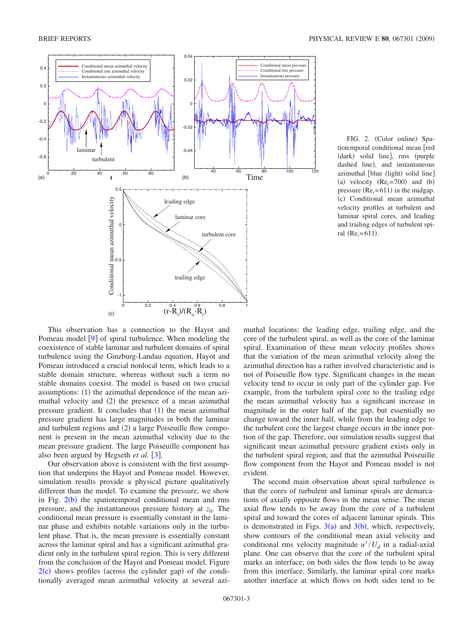<span id="page-2-0"></span>

FIG. 2. (Color online) Spatiotemporal conditional mean [red (dark) solid line], rms (purple dashed line), and instantaneous azimuthal [blue (light) solid line] (a) velocity  $(Re<sub>i</sub>=700)$  and (b) pressure  $(Re<sub>i</sub>=611)$  in the midgap. (c) Conditional mean azimuthal velocity profiles at turbulent and laminar spiral cores, and leading and trailing edges of turbulent spiral ( $Re_i = 611$ ).

This observation has a connection to the Hayot and Pomeau model  $\lceil 9 \rceil$  $\lceil 9 \rceil$  $\lceil 9 \rceil$  of spiral turbulence. When modeling the coexistence of stable laminar and turbulent domains of spiral turbulence using the Ginzburg-Landau equation, Hayot and Pomeau introduced a crucial nonlocal term, which leads to a stable domain structure, whereas without such a term no stable domains coexist. The model is based on two crucial assumptions: (1) the azimuthal dependence of the mean azimuthal velocity and (2) the presence of a mean azimuthal pressure gradient. It concludes that (1) the mean azimuthal pressure gradient has large magnitudes in both the laminar and turbulent regions and (2) a large Poiseuille flow component is present in the mean azimuthal velocity due to the mean pressure gradient. The large Poiseuille component has also been argued by Hegseth *et al.* [[3](#page-3-2)].

Our observation above is consistent with the first assumption that underpins the Hayot and Pomeau model. However, simulation results provide a physical picture qualitatively different than the model. To examine the pressure, we show in Fig.  $2(b)$  $2(b)$  the spatiotemporal conditional mean and rms pressure, and the instantaneous pressure history at  $z_0$ . The conditional mean pressure is essentially constant in the laminar phase and exhibits notable variations only in the turbulent phase. That is, the mean pressure is essentially constant across the laminar spiral and has a significant azimuthal gradient only in the turbulent spiral region. This is very different from the conclusion of the Hayot and Pomeau model. Figure  $2(c)$  $2(c)$  shows profiles (across the cylinder gap) of the conditionally averaged mean azimuthal velocity at several azimuthal locations: the leading edge, trailing edge, and the core of the turbulent spiral, as well as the core of the laminar spiral. Examination of these mean velocity profiles shows that the variation of the mean azimuthal velocity along the azimuthal direction has a rather involved characteristic and is not of Poiseuille flow type. Significant changes in the mean velocity tend to occur in only part of the cylinder gap. For example, from the turbulent spiral core to the trailing edge the mean azimuthal velocity has a significant increase in magnitude in the outer half of the gap, but essentially no change toward the inner half, while from the leading edge to the turbulent core the largest change occurs in the inner portion of the gap. Therefore, our simulation results suggest that significant mean azimuthal pressure gradient exists only in the turbulent spiral region, and that the azimuthal Poiseuille flow component from the Hayot and Pomeau model is not evident.

The second main observation about spiral turbulence is that the cores of turbulent and laminar spirals are demarcations of axially opposite flows in the mean sense. The mean axial flow tends to be away from the core of a turbulent spiral and toward the cores of adjacent laminar spirals. This is demonstrated in Figs.  $3(a)$  $3(a)$  and  $3(b)$ , which, respectively, show contours of the conditional mean axial velocity and conditional rms velocity magnitude  $u'/U_d$  in a radial-axial plane. One can observe that the core of the turbulent spiral marks an interface; on both sides the flow tends to be away from this interface. Similarly, the laminar spiral core marks another interface at which flows on both sides tend to be